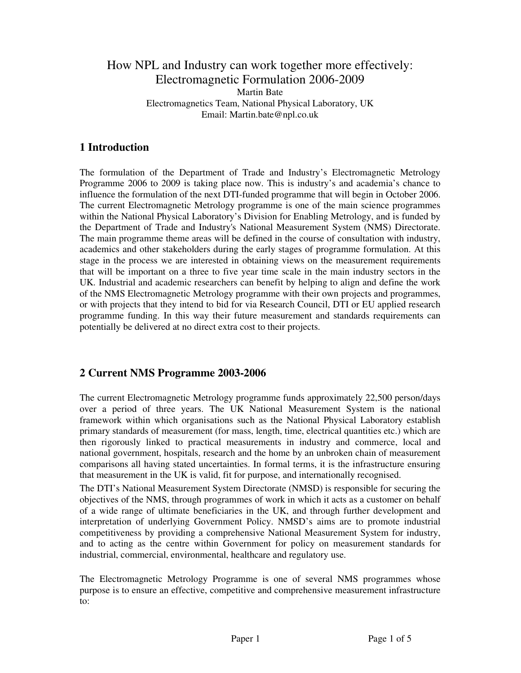### How NPL and Industry can work together more effectively: Electromagnetic Formulation 2006-2009 Martin Bate Electromagnetics Team, National Physical Laboratory, UK Email: Martin.bate@npl.co.uk

# **1 Introduction**

The formulation of the Department of Trade and Industry's Electromagnetic Metrology Programme 2006 to 2009 is taking place now. This is industry's and academia's chance to influence the formulation of the next DTI-funded programme that will begin in October 2006. The current Electromagnetic Metrology programme is one of the main science programmes within the National Physical Laboratory's Division for Enabling Metrology, and is funded by the Department of Trade and Industry's National Measurement System (NMS) Directorate. The main programme theme areas will be defined in the course of consultation with industry, academics and other stakeholders during the early stages of programme formulation. At this stage in the process we are interested in obtaining views on the measurement requirements that will be important on a three to five year time scale in the main industry sectors in the UK. Industrial and academic researchers can benefit by helping to align and define the work of the NMS Electromagnetic Metrology programme with their own projects and programmes, or with projects that they intend to bid for via Research Council, DTI or EU applied research programme funding. In this way their future measurement and standards requirements can potentially be delivered at no direct extra cost to their projects.

### **2 Current NMS Programme 2003-2006**

The current Electromagnetic Metrology programme funds approximately 22,500 person/days over a period of three years. The UK National Measurement System is the national framework within which organisations such as the National Physical Laboratory establish primary standards of measurement (for mass, length, time, electrical quantities etc.) which are then rigorously linked to practical measurements in industry and commerce, local and national government, hospitals, research and the home by an unbroken chain of measurement comparisons all having stated uncertainties. In formal terms, it is the infrastructure ensuring that measurement in the UK is valid, fit for purpose, and internationally recognised.

The DTI's National Measurement System Directorate (NMSD) is responsible for securing the objectives of the NMS, through programmes of work in which it acts as a customer on behalf of a wide range of ultimate beneficiaries in the UK, and through further development and interpretation of underlying Government Policy. NMSD's aims are to promote industrial competitiveness by providing a comprehensive National Measurement System for industry, and to acting as the centre within Government for policy on measurement standards for industrial, commercial, environmental, healthcare and regulatory use.

The Electromagnetic Metrology Programme is one of several NMS programmes whose purpose is to ensure an effective, competitive and comprehensive measurement infrastructure to: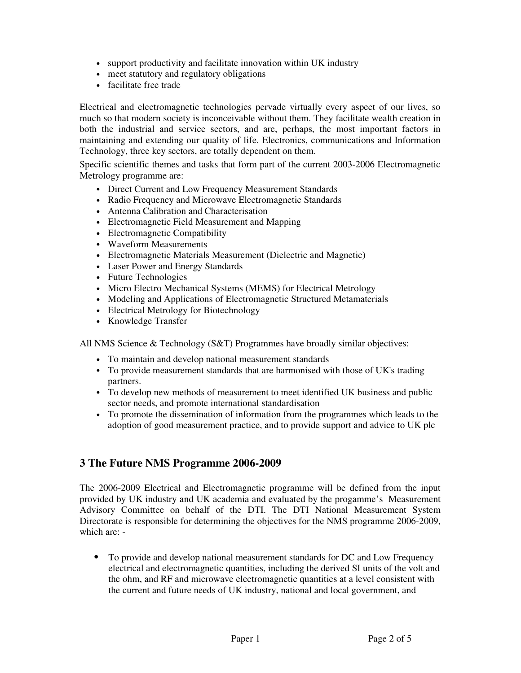- support productivity and facilitate innovation within UK industry
- meet statutory and regulatory obligations
- facilitate free trade

Electrical and electromagnetic technologies pervade virtually every aspect of our lives, so much so that modern society is inconceivable without them. They facilitate wealth creation in both the industrial and service sectors, and are, perhaps, the most important factors in maintaining and extending our quality of life. Electronics, communications and Information Technology, three key sectors, are totally dependent on them.

Specific scientific themes and tasks that form part of the current 2003-2006 Electromagnetic Metrology programme are:

- Direct Current and Low Frequency Measurement Standards
- Radio Frequency and Microwave Electromagnetic Standards
- Antenna Calibration and Characterisation
- Electromagnetic Field Measurement and Mapping
- Electromagnetic Compatibility
- Waveform Measurements
- Electromagnetic Materials Measurement (Dielectric and Magnetic)
- Laser Power and Energy Standards
- Future Technologies
- Micro Electro Mechanical Systems (MEMS) for Electrical Metrology
- Modeling and Applications of Electromagnetic Structured Metamaterials
- Electrical Metrology for Biotechnology
- Knowledge Transfer

All NMS Science & Technology (S&T) Programmes have broadly similar objectives:

- To maintain and develop national measurement standards
- To provide measurement standards that are harmonised with those of UK's trading partners.
- To develop new methods of measurement to meet identified UK business and public sector needs, and promote international standardisation
- To promote the dissemination of information from the programmes which leads to the adoption of good measurement practice, and to provide support and advice to UK plc

#### **3 The Future NMS Programme 2006-2009**

The 2006-2009 Electrical and Electromagnetic programme will be defined from the input provided by UK industry and UK academia and evaluated by the progamme's Measurement Advisory Committee on behalf of the DTI. The DTI National Measurement System Directorate is responsible for determining the objectives for the NMS programme 2006-2009, which are: -

• To provide and develop national measurement standards for DC and Low Frequency electrical and electromagnetic quantities, including the derived SI units of the volt and the ohm, and RF and microwave electromagnetic quantities at a level consistent with the current and future needs of UK industry, national and local government, and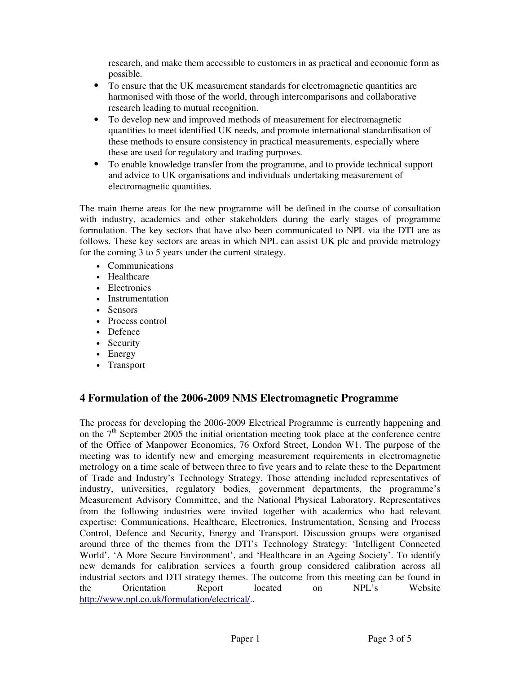research, and make them accessible to customers in as practical and economic form as possible.

- To ensure that the UK measurement standards for electromagnetic quantities are harmonised with those of the world, through intercomparisons and collaborative research leading to mutual recognition.
- To develop new and improved methods of measurement for electromagnetic quantities to meet identified UK needs, and promote international standardisation of these methods to ensure consistency in practical measurements, especially where these are used for regulatory and trading purposes.
- To enable knowledge transfer from the programme, and to provide technical support and advice to UK organisations and individuals undertaking measurement of electromagnetic quantities.

The main theme areas for the new programme will be defined in the course of consultation with industry, academics and other stakeholders during the early stages of programme formulation. The key sectors that have also been communicated to NPL via the DTI are as follows. These key sectors are areas in which NPL can assist UK plc and provide metrology for the coming 3 to 5 years under the current strategy.

- Communications
- Healthcare
- Electronics
- Instrumentation
- Sensors
- Process control
- Defence
- Security
- Energy
- Transport

### **4 Formulation of the 2006-2009 NMS Electromagnetic Programme**

The process for developing the 2006-2009 Electrical Programme is currently happening and on the  $7<sup>th</sup>$  September 2005 the initial orientation meeting took place at the conference centre of the Office of Manpower Economics, 76 Oxford Street, London W1. The purpose of the meeting was to identify new and emerging measurement requirements in electromagnetic metrology on a time scale of between three to five years and to relate these to the Department of Trade and Industry's Technology Strategy. Those attending included representatives of industry, universities, regulatory bodies, government departments, the programme's Measurement Advisory Committee, and the National Physical Laboratory. Representatives from the following industries were invited together with academics who had relevant expertise: Communications, Healthcare, Electronics, Instrumentation, Sensing and Process Control, Defence and Security, Energy and Transport. Discussion groups were organised around three of the themes from the DTI's Technology Strategy: 'Intelligent Connected World', 'A More Secure Environment', and 'Healthcare in an Ageing Society'. To identify new demands for calibration services a fourth group considered calibration across all industrial sectors and DTI strategy themes. The outcome from this meeting can be found in the Orientation Report located on NPL's Website http://www.npl.co.uk/formulation/electrical/..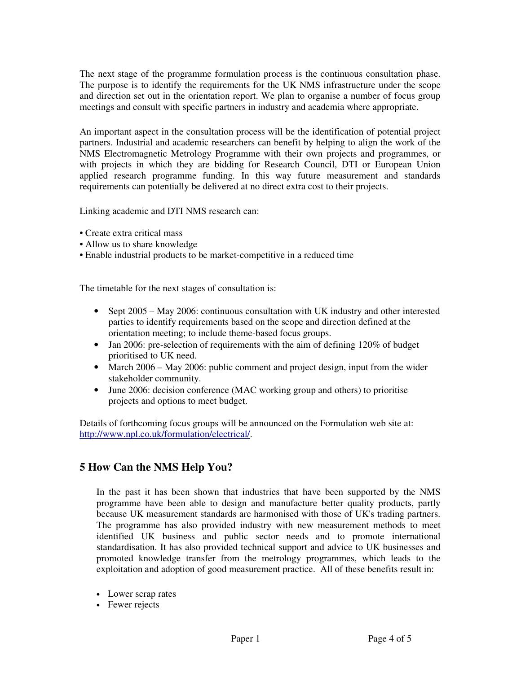The next stage of the programme formulation process is the continuous consultation phase. The purpose is to identify the requirements for the UK NMS infrastructure under the scope and direction set out in the orientation report. We plan to organise a number of focus group meetings and consult with specific partners in industry and academia where appropriate.

An important aspect in the consultation process will be the identification of potential project partners. Industrial and academic researchers can benefit by helping to align the work of the NMS Electromagnetic Metrology Programme with their own projects and programmes, or with projects in which they are bidding for Research Council, DTI or European Union applied research programme funding. In this way future measurement and standards requirements can potentially be delivered at no direct extra cost to their projects.

Linking academic and DTI NMS research can:

- Create extra critical mass
- Allow us to share knowledge
- Enable industrial products to be market-competitive in a reduced time

The timetable for the next stages of consultation is:

- Sept 2005 May 2006: continuous consultation with UK industry and other interested parties to identify requirements based on the scope and direction defined at the orientation meeting; to include theme-based focus groups.
- Jan 2006: pre-selection of requirements with the aim of defining 120% of budget prioritised to UK need.
- March 2006 May 2006: public comment and project design, input from the wider stakeholder community.
- June 2006: decision conference (MAC working group and others) to prioritise projects and options to meet budget.

Details of forthcoming focus groups will be announced on the Formulation web site at: http://www.npl.co.uk/formulation/electrical/.

#### **5 How Can the NMS Help You?**

In the past it has been shown that industries that have been supported by the NMS programme have been able to design and manufacture better quality products, partly because UK measurement standards are harmonised with those of UK's trading partners. The programme has also provided industry with new measurement methods to meet identified UK business and public sector needs and to promote international standardisation. It has also provided technical support and advice to UK businesses and promoted knowledge transfer from the metrology programmes, which leads to the exploitation and adoption of good measurement practice. All of these benefits result in:

- Lower scrap rates
- Fewer rejects